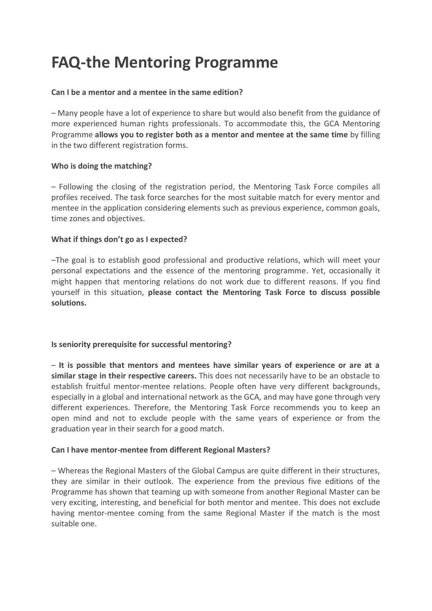# **FAQ-the Mentoring Programme**

## **Can I be a mentor and a mentee in the same edition?**

– Many people have a lot of experience to share but would also benefit from the guidance of more experienced human rights professionals. To accommodate this, the GCA Mentoring Programme **allows you to register both as a mentor and mentee at the same time** by filling in the two different registration forms.

## **Who is doing the matching?**

– Following the closing of the registration period, the Mentoring Task Force compiles all profiles received. The task force searches for the most suitable match for every mentor and mentee in the application considering elements such as previous experience, common goals, time zones and objectives.

## **What if things don't go as I expected?**

–The goal is to establish good professional and productive relations, which will meet your personal expectations and the essence of the mentoring programme. Yet, occasionally it might happen that mentoring relations do not work due to different reasons. If you find yourself in this situation, **please contact the Mentoring Task Force to discuss possible solutions.** 

# **Is seniority prerequisite for successful mentoring?**

– **It is possible that mentors and mentees have similar years of experience or are at a similar stage in their respective careers.** This does not necessarily have to be an obstacle to establish fruitful mentor-mentee relations. People often have very different backgrounds, especially in a global and international network as the GCA, and may have gone through very different experiences. Therefore, the Mentoring Task Force recommends you to keep an open mind and not to exclude people with the same years of experience or from the graduation year in their search for a good match.

### **Can I have mentor-mentee from different Regional Masters?**

– Whereas the Regional Masters of the Global Campus are quite different in their structures, they are similar in their outlook. The experience from the previous five editions of the Programme has shown that teaming up with someone from another Regional Master can be very exciting, interesting, and beneficial for both mentor and mentee. This does not exclude having mentor-mentee coming from the same Regional Master if the match is the most suitable one.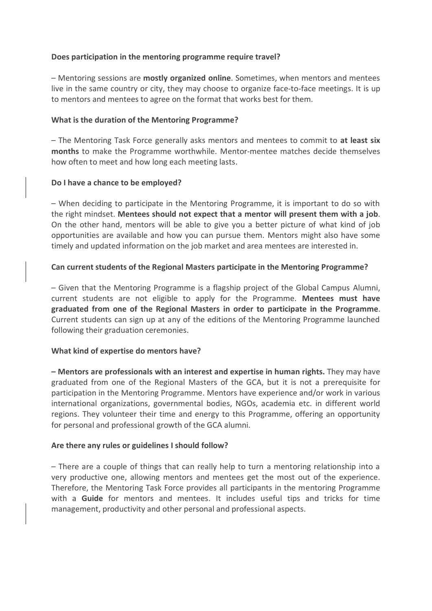### **Does participation in the mentoring programme require travel?**

– Mentoring sessions are **mostly organized online**. Sometimes, when mentors and mentees live in the same country or city, they may choose to organize face-to-face meetings. It is up to mentors and mentees to agree on the format that works best for them.

## **What is the duration of the Mentoring Programme?**

– The Mentoring Task Force generally asks mentors and mentees to commit to **at least six months** to make the Programme worthwhile. Mentor-mentee matches decide themselves how often to meet and how long each meeting lasts.

## **Do I have a chance to be employed?**

– When deciding to participate in the Mentoring Programme, it is important to do so with the right mindset. **Mentees should not expect that a mentor will present them with a job**. On the other hand, mentors will be able to give you a better picture of what kind of job opportunities are available and how you can pursue them. Mentors might also have some timely and updated information on the job market and area mentees are interested in.

# **Can current students of the Regional Masters participate in the Mentoring Programme?**

– Given that the Mentoring Programme is a flagship project of the Global Campus Alumni, current students are not eligible to apply for the Programme. **Mentees must have graduated from one of the Regional Masters in order to participate in the Programme**. Current students can sign up at any of the editions of the Mentoring Programme launched following their graduation ceremonies.

# **What kind of expertise do mentors have?**

**– Mentors are professionals with an interest and expertise in human rights.** They may have graduated from one of the Regional Masters of the GCA, but it is not a prerequisite for participation in the Mentoring Programme. Mentors have experience and/or work in various international organizations, governmental bodies, NGOs, academia etc. in different world regions. They volunteer their time and energy to this Programme, offering an opportunity for personal and professional growth of the GCA alumni.

# **Are there any rules or guidelines I should follow?**

– There are a couple of things that can really help to turn a mentoring relationship into a very productive one, allowing mentors and mentees get the most out of the experience. Therefore, the Mentoring Task Force provides all participants in the mentoring Programme with a **Guide** for mentors and mentees. It includes useful tips and tricks for time management, productivity and other personal and professional aspects.